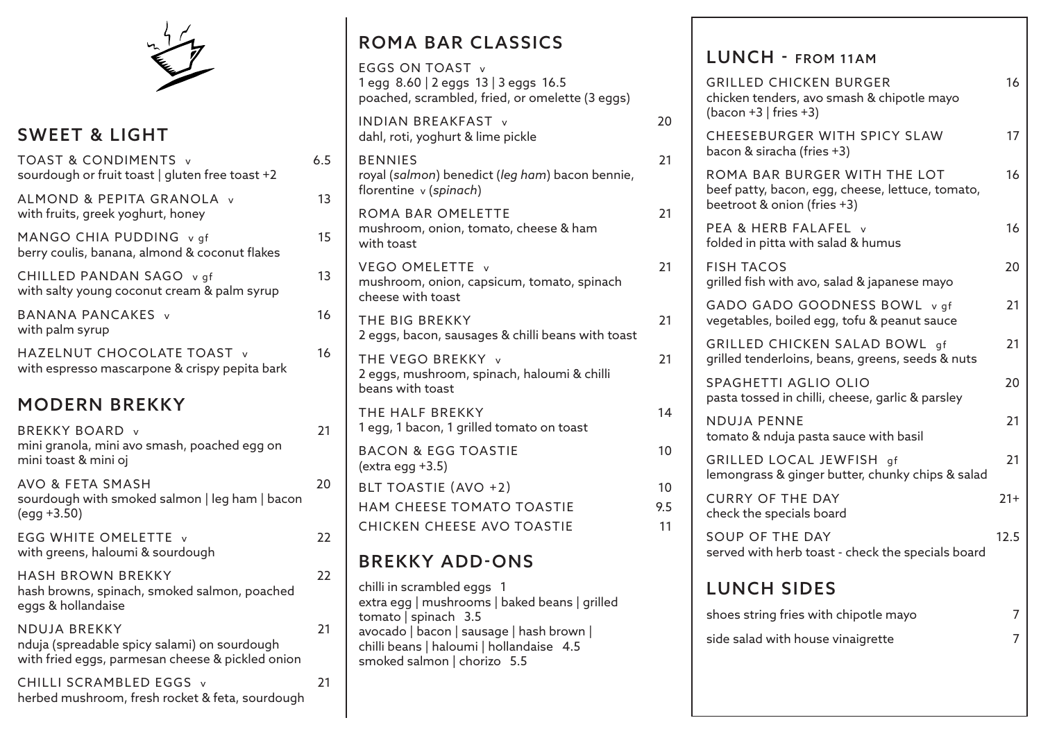

## SWEET & LIGHT

| TOAST & CONDIMENTS v<br>sourdough or fruit toast   gluten free toast +2                       | 6.5 |
|-----------------------------------------------------------------------------------------------|-----|
| ALMOND & PEPITA GRANOLA v<br>with fruits, greek yoghurt, honey                                | 13  |
| MANGO CHIA PUDDING v gf<br>berry coulis, banana, almond & coconut flakes                      | 15  |
| CHILLED PANDAN SAGO v gf<br>with salty young coconut cream & palm syrup                       | 13  |
| BANANA PANCAKES v<br>with palm syrup                                                          | 16  |
| HAZELNUT CHOCOLATE TOAST v<br>with espresso mascarpone & crispy pepita bark                   | 16  |
| <b>MODERN BREKKY</b>                                                                          |     |
| <b>BREKKY BOARD</b> v<br>mini granola, mini avo smash, poached egg on<br>mini toast & mini oj | 21  |

#### AVO & FETA SMASH sourdough with smoked salmon | leg ham | bacon (egg +3.50) 20 EGG WHITE OMELETTE v with greens, haloumi & sourdough  $22$ HASH BROWN BREKKY hash browns, spinach, smoked salmon, poached eggs & hollandaise 22 NDUJA BREKKY nduja (spreadable spicy salami) on sourdough with fried eggs, parmesan cheese & pickled onion 21

CHILLI SCRAMBLED EGGS v herbed mushroom, fresh rocket & feta, sourdough

## ROMA BAR CLASSICS

EGGS ON TOAST v 1 egg 8.60 | 2 eggs 13 | 3 eggs 16.5 poached, scrambled, fried, or omelette (3 eggs)

INDIAN BREAKFAST v dahl, roti, yoghurt & lime pickle

21

BENNIES royal (*salmon*) benedict (*leg ham*) bacon bennie, florentine v (*spinach*)

ROMA BAR OMELETTE mushroom, onion, tomato, cheese & ham with toast

VEGO OMELETTE v mushroom, onion, capsicum, tomato, spinach cheese with toast

THE BIG BREKKY 2 eggs, bacon, sausages & chilli beans with toast

THE VEGO BREKKY v 2 eggs, mushroom, spinach, haloumi & chilli beans with toast

THE HALF BREKKY 1 egg, 1 bacon, 1 grilled tomato on toast BACON & EGG TOASTIE

(extra egg +3.5) BLT TOASTIE (AVO +2) 10 HAM CHEESE TOMATO TOASTIF 95 CHICKEN CHEESE AVO TOASTIE 11

# BREKKY ADD-ONS

chilli in scrambled eggs 1 extra egg | mushrooms | baked beans | grilled tomato | spinach 3.5 avocado | bacon | sausage | hash brown | chilli beans | haloumi | hollandaise 4.5 smoked salmon | chorizo 5.5

## LUNCH - FROM 11AM

 $20$ 

21

21

21

21

21

14

10

| <b>GRILLED CHICKEN BURGER</b><br>chicken tenders, avo smash & chipotle mayo<br>$\frac{1}{2}$ (bacon +3   fries +3) | 16    |
|--------------------------------------------------------------------------------------------------------------------|-------|
| CHEESEBURGER WITH SPICY SLAW<br>bacon & siracha (fries +3)                                                         | 17    |
| ROMA BAR BURGER WITH THE LOT<br>beef patty, bacon, egg, cheese, lettuce, tomato,<br>beetroot & onion (fries +3)    | 16    |
| PEA & HERB FALAFEL v<br>folded in pitta with salad & humus                                                         | 16    |
| <b>FISH TACOS</b><br>grilled fish with avo, salad & japanese mayo                                                  | 20    |
| GADO GADO GOODNESS BOWL v gf<br>vegetables, boiled egg, tofu & peanut sauce                                        | 21    |
| GRILLED CHICKEN SALAD BOWL qf<br>grilled tenderloins, beans, greens, seeds & nuts                                  | 21    |
| SPAGHETTI AGLIO OLIO<br>pasta tossed in chilli, cheese, garlic & parsley                                           | 20    |
| <b>NDUJA PENNE</b><br>tomato & nduja pasta sauce with basil                                                        | 21    |
| GRILLED LOCAL JEWFISH qf<br>lemongrass & ginger butter, chunky chips & salad                                       | 21    |
| <b>CURRY OF THE DAY</b><br>check the specials board                                                                | $21+$ |
| SOUP OF THE DAY<br>served with herb toast - check the specials board                                               | 12.5  |
| <b>LUNCH SIDES</b>                                                                                                 |       |
| shoes string fries with chipotle mayo                                                                              | 7     |
| side salad with house vinaigrette                                                                                  | 7     |
|                                                                                                                    |       |